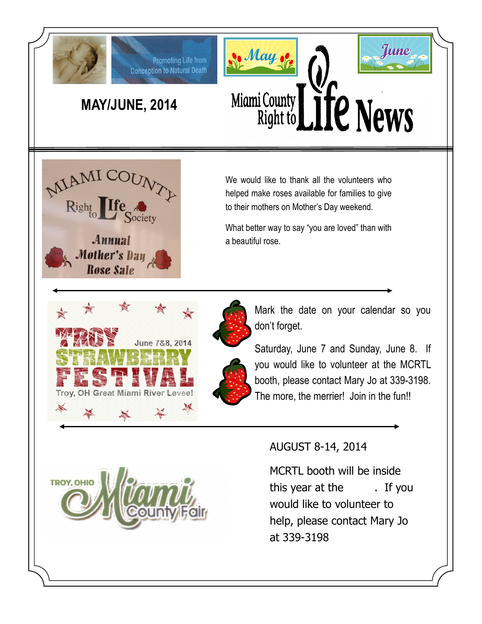

# **MAY/JUNE, 2014**

Promoting Life from **Conception to Natural Death** 





We would like to thank all the volunteers who helped make roses available for families to give to their mothers on Mother's Day weekend.

What better way to say "you are loved" than with a beautiful rose.





Saturday, June 7 and Sunday, June 8. If you would like to volunteer at the MCRTL booth, please contact Mary Jo at 339-3198. The more, the merrier! Join in the fun!!



## AUGUST 8-14, 2014

MCRTL booth will be inside this year at the . If you would like to volunteer to help, please contact Mary Jo at 339-3198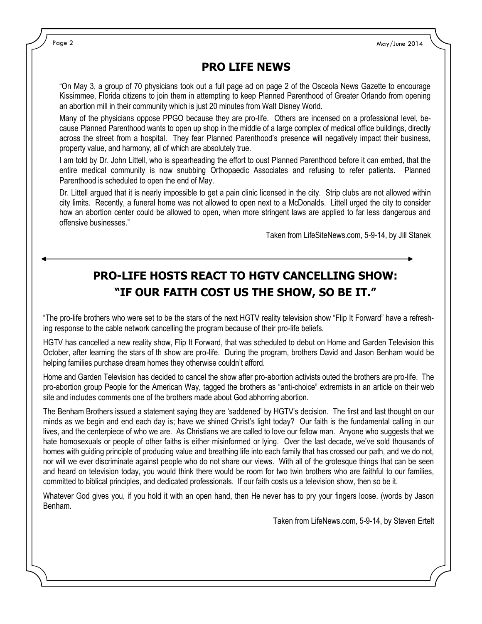Page 2 May/June 2014

### **PRO LIFE NEWS**

"On May 3, a group of 70 physicians took out a full page ad on page 2 of the Osceola News Gazette to encourage Kissimmee, Florida citizens to join them in attempting to keep Planned Parenthood of Greater Orlando from opening an abortion mill in their community which is just 20 minutes from Walt Disney World.

Many of the physicians oppose PPGO because they are pro-life. Others are incensed on a professional level, because Planned Parenthood wants to open up shop in the middle of a large complex of medical office buildings, directly across the street from a hospital. They fear Planned Parenthood's presence will negatively impact their business, property value, and harmony, all of which are absolutely true.

I am told by Dr. John Littell, who is spearheading the effort to oust Planned Parenthood before it can embed, that the entire medical community is now snubbing Orthopaedic Associates and refusing to refer patients. Planned Parenthood is scheduled to open the end of May.

Dr. Littell argued that it is nearly impossible to get a pain clinic licensed in the city. Strip clubs are not allowed within city limits. Recently, a funeral home was not allowed to open next to a McDonalds. Littell urged the city to consider how an abortion center could be allowed to open, when more stringent laws are applied to far less dangerous and offensive businesses."

Taken from LifeSiteNews.com, 5-9-14, by Jill Stanek

## **PRO-LIFE HOSTS REACT TO HGTV CANCELLING SHOW: "IF OUR FAITH COST US THE SHOW, SO BE IT."**

"The pro-life brothers who were set to be the stars of the next HGTV reality television show "Flip It Forward" have a refreshing response to the cable network cancelling the program because of their pro-life beliefs.

HGTV has cancelled a new reality show, Flip It Forward, that was scheduled to debut on Home and Garden Television this October, after learning the stars of th show are pro-life. During the program, brothers David and Jason Benham would be helping families purchase dream homes they otherwise couldn't afford.

Home and Garden Television has decided to cancel the show after pro-abortion activists outed the brothers are pro-life. The pro-abortion group People for the American Way, tagged the brothers as "anti-choice" extremists in an article on their web site and includes comments one of the brothers made about God abhorring abortion.

The Benham Brothers issued a statement saying they are 'saddened' by HGTV's decision. The first and last thought on our minds as we begin and end each day is; have we shined Christ's light today? Our faith is the fundamental calling in our lives, and the centerpiece of who we are. As Christians we are called to love our fellow man. Anyone who suggests that we hate homosexuals or people of other faiths is either misinformed or lying. Over the last decade, we've sold thousands of homes with guiding principle of producing value and breathing life into each family that has crossed our path, and we do not, nor will we ever discriminate against people who do not share our views. With all of the grotesque things that can be seen and heard on television today, you would think there would be room for two twin brothers who are faithful to our families, committed to biblical principles, and dedicated professionals. If our faith costs us a television show, then so be it.

Whatever God gives you, if you hold it with an open hand, then He never has to pry your fingers loose. (words by Jason Benham.

Taken from LifeNews.com, 5-9-14, by Steven Ertelt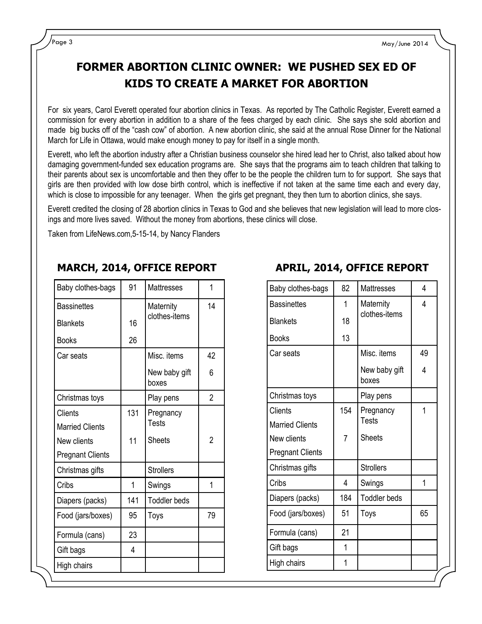## **FORMER ABORTION CLINIC OWNER: WE PUSHED SEX ED OF KIDS TO CREATE A MARKET FOR ABORTION**

For six years, Carol Everett operated four abortion clinics in Texas. As reported by The Catholic Register, Everett earned a commission for every abortion in addition to a share of the fees charged by each clinic. She says she sold abortion and made big bucks off of the "cash cow" of abortion. A new abortion clinic, she said at the annual Rose Dinner for the National March for Life in Ottawa, would make enough money to pay for itself in a single month.

Everett, who left the abortion industry after a Christian business counselor she hired lead her to Christ, also talked about how damaging government-funded sex education programs are. She says that the programs aim to teach children that talking to their parents about sex is uncomfortable and then they offer to be the people the children turn to for support. She says that girls are then provided with low dose birth control, which is ineffective if not taken at the same time each and every day, which is close to impossible for any teenager. When the girls get pregnant, they then turn to abortion clinics, she says.

Everett credited the closing of 28 abortion clinics in Texas to God and she believes that new legislation will lead to more closings and more lives saved. Without the money from abortions, these clinics will close.

Taken from LifeNews.com,5-15-14, by Nancy Flanders

| Baby clothes-bags       | 91  | Mattresses             | 1              |
|-------------------------|-----|------------------------|----------------|
| <b>Bassinettes</b>      |     | Maternity              | 14             |
| <b>Blankets</b>         | 16  | clothes-items          |                |
| <b>Books</b>            | 26  |                        |                |
| Car seats               |     | Misc. items            | 42             |
|                         |     | New baby gift<br>boxes | 6              |
| Christmas toys          |     | Play pens              | $\overline{2}$ |
| <b>Clients</b>          | 131 | Pregnancy              |                |
| <b>Married Clients</b>  |     | <b>Tests</b>           |                |
| New clients             | 11  | <b>Sheets</b>          | $\overline{2}$ |
| <b>Pregnant Clients</b> |     |                        |                |
| Christmas gifts         |     | <b>Strollers</b>       |                |
| Cribs                   | 1   | Swings                 | 1              |
| Diapers (packs)         | 141 | <b>Toddler beds</b>    |                |
| Food (jars/boxes)       | 95  | Toys                   | 79             |
| Formula (cans)          | 23  |                        |                |
| Gift bags               | 4   |                        |                |
| High chairs             |     |                        |                |

#### **MARCH, 2014, OFFICE REPORT APRIL, 2014, OFFICE REPORT**

| Baby clothes-bags       | 82             | <b>Mattresses</b>      | 4  |
|-------------------------|----------------|------------------------|----|
| <b>Bassinettes</b>      | 1              | Maternity              | 4  |
| <b>Blankets</b>         | 18             | clothes-items          |    |
| <b>Books</b>            | 13             |                        |    |
| Car seats               |                | Misc. items            | 49 |
|                         |                | New baby gift<br>boxes | 4  |
| Christmas toys          |                | Play pens              |    |
| Clients                 | 154            | Pregnancy              | 1  |
| <b>Married Clients</b>  |                | <b>Tests</b>           |    |
| New clients             | $\overline{7}$ | <b>Sheets</b>          |    |
| <b>Pregnant Clients</b> |                |                        |    |
| Christmas gifts         |                | <b>Strollers</b>       |    |
| Cribs                   | 4              | Swings                 | 1  |
| Diapers (packs)         | 184            | <b>Toddler beds</b>    |    |
| Food (jars/boxes)       | 51             | Toys                   | 65 |
| Formula (cans)          | 21             |                        |    |
| Gift bags               | 1              |                        |    |
| High chairs             | 1              |                        |    |